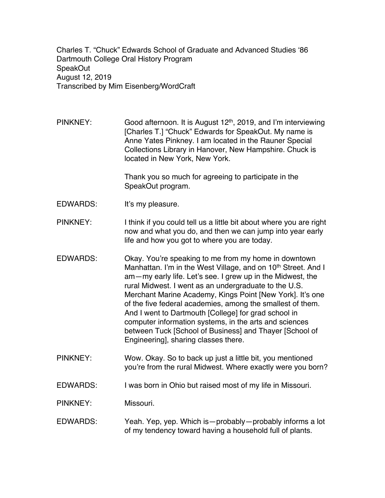Charles T. "Chuck" Edwards School of Graduate and Advanced Studies '86 Dartmouth College Oral History Program SpeakOut August 12, 2019 Transcribed by Mim Eisenberg/WordCraft

PINKNEY: Good afternoon. It is August 12<sup>th</sup>, 2019, and I'm interviewing [Charles T.] "Chuck" Edwards for SpeakOut. My name is Anne Yates Pinkney. I am located in the Rauner Special Collections Library in Hanover, New Hampshire. Chuck is located in New York, New York.

> Thank you so much for agreeing to participate in the SpeakOut program.

- EDWARDS: It's my pleasure.
- PINKNEY: I think if you could tell us a little bit about where you are right now and what you do, and then we can jump into year early life and how you got to where you are today.
- EDWARDS: Okay. You're speaking to me from my home in downtown Manhattan. I'm in the West Village, and on 10<sup>th</sup> Street. And I am—my early life. Let's see. I grew up in the Midwest, the rural Midwest. I went as an undergraduate to the U.S. Merchant Marine Academy, Kings Point [New York]. It's one of the five federal academies, among the smallest of them. And I went to Dartmouth [College] for grad school in computer information systems, in the arts and sciences between Tuck [School of Business] and Thayer [School of Engineering], sharing classes there.
- PINKNEY: Wow. Okay. So to back up just a little bit, you mentioned you're from the rural Midwest. Where exactly were you born?
- EDWARDS: I was born in Ohio but raised most of my life in Missouri.

PINKNEY: Missouri.

EDWARDS: Yeah. Yep, yep. Which is—probably—probably informs a lot of my tendency toward having a household full of plants.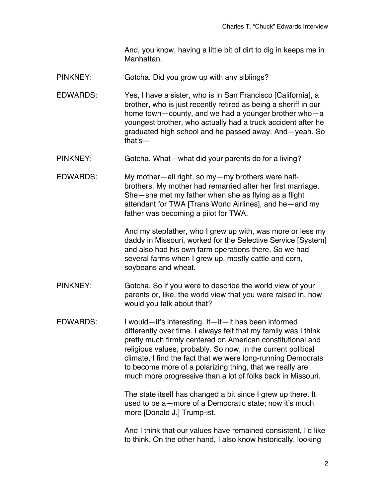And, you know, having a little bit of dirt to dig in keeps me in Manhattan.

- PINKNEY: Gotcha. Did you grow up with any siblings?
- EDWARDS: Yes, I have a sister, who is in San Francisco [California], a brother, who is just recently retired as being a sheriff in our home town—county, and we had a younger brother who—a youngest brother, who actually had a truck accident after he graduated high school and he passed away. And—yeah. So that's—
- PINKNEY: Gotcha. What—what did your parents do for a living?
- EDWARDS: My mother—all right, so my—my brothers were halfbrothers. My mother had remarried after her first marriage. She—she met my father when she as flying as a flight attendant for TWA [Trans World Airlines], and he—and my father was becoming a pilot for TWA.

And my stepfather, who I grew up with, was more or less my daddy in Missouri, worked for the Selective Service [System] and also had his own farm operations there. So we had several farms when I grew up, mostly cattle and corn, soybeans and wheat.

- PINKNEY: Gotcha. So if you were to describe the world view of your parents or, like, the world view that you were raised in, how would you talk about that?
- EDWARDS: I would—it's interesting. It—it—it has been informed differently over time. I always felt that my family was I think pretty much firmly centered on American constitutional and religious values, probably. So now, in the current political climate, I find the fact that we were long-running Democrats to become more of a polarizing thing, that we really are much more progressive than a lot of folks back in Missouri.

The state itself has changed a bit since I grew up there. It used to be a—more of a Democratic state; now it's much more [Donald J.] Trump-ist.

And I think that our values have remained consistent, I'd like to think. On the other hand, I also know historically, looking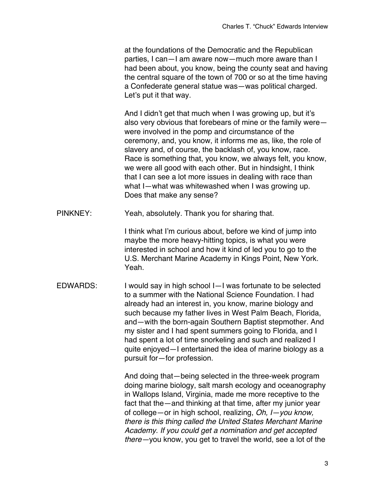at the foundations of the Democratic and the Republican parties, I can—I am aware now—much more aware than I had been about, you know, being the county seat and having the central square of the town of 700 or so at the time having a Confederate general statue was—was political charged. Let's put it that way.

And I didn't get that much when I was growing up, but it's also very obvious that forebears of mine or the family were were involved in the pomp and circumstance of the ceremony, and, you know, it informs me as, like, the role of slavery and, of course, the backlash of, you know, race. Race is something that, you know, we always felt, you know, we were all good with each other. But in hindsight, I think that I can see a lot more issues in dealing with race than what I—what was whitewashed when I was growing up. Does that make any sense?

PINKNEY: Yeah, absolutely. Thank you for sharing that.

I think what I'm curious about, before we kind of jump into maybe the more heavy-hitting topics, is what you were interested in school and how it kind of led you to go to the U.S. Merchant Marine Academy in Kings Point, New York. Yeah.

EDWARDS: I would say in high school I—I was fortunate to be selected to a summer with the National Science Foundation. I had already had an interest in, you know, marine biology and such because my father lives in West Palm Beach, Florida, and—with the born-again Southern Baptist stepmother. And my sister and I had spent summers going to Florida, and I had spent a lot of time snorkeling and such and realized I quite enjoyed—I entertained the idea of marine biology as a pursuit for—for profession.

> And doing that—being selected in the three-week program doing marine biology, salt marsh ecology and oceanography in Wallops Island, Virginia, made me more receptive to the fact that the—and thinking at that time, after my junior year of college—or in high school, realizing, *Oh, I—you know, there is this thing called the United States Merchant Marine Academy. If you could get a nomination and get accepted there—*you know, you get to travel the world, see a lot of the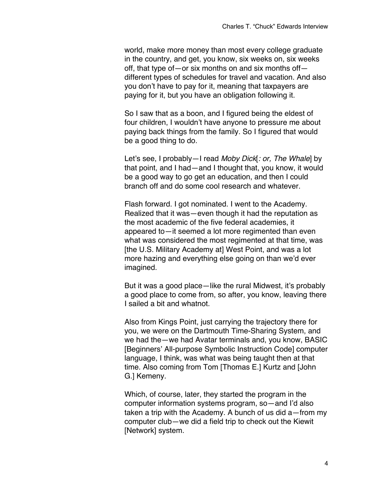world, make more money than most every college graduate in the country, and get, you know, six weeks on, six weeks off, that type of—or six months on and six months off different types of schedules for travel and vacation. And also you don't have to pay for it, meaning that taxpayers are paying for it, but you have an obligation following it.

So I saw that as a boon, and I figured being the eldest of four children, I wouldn't have anyone to pressure me about paying back things from the family. So I figured that would be a good thing to do.

Let's see, I probably—I read *Moby Dick*[*: or, The Whale*] by that point, and I had—and I thought that, you know, it would be a good way to go get an education, and then I could branch off and do some cool research and whatever.

Flash forward. I got nominated. I went to the Academy. Realized that it was—even though it had the reputation as the most academic of the five federal academies, it appeared to—it seemed a lot more regimented than even what was considered the most regimented at that time, was [the U.S. Military Academy at] West Point, and was a lot more hazing and everything else going on than we'd ever imagined.

But it was a good place—like the rural Midwest, it's probably a good place to come from, so after, you know, leaving there I sailed a bit and whatnot.

Also from Kings Point, just carrying the trajectory there for you, we were on the Dartmouth Time-Sharing System, and we had the—we had Avatar terminals and, you know, BASIC [Beginners' All-purpose Symbolic Instruction Code] computer language, I think, was what was being taught then at that time. Also coming from Tom [Thomas E.] Kurtz and [John G.] Kemeny.

Which, of course, later, they started the program in the computer information systems program, so—and I'd also taken a trip with the Academy. A bunch of us did a—from my computer club—we did a field trip to check out the Kiewit [Network] system.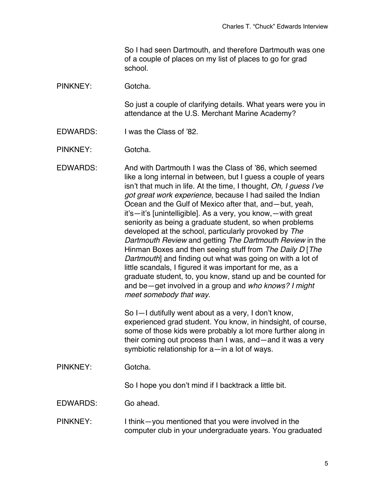So I had seen Dartmouth, and therefore Dartmouth was one of a couple of places on my list of places to go for grad school.

PINKNEY: Gotcha.

So just a couple of clarifying details. What years were you in attendance at the U.S. Merchant Marine Academy?

EDWARDS: I was the Class of '82.

PINKNEY: Gotcha.

EDWARDS: And with Dartmouth I was the Class of '86, which seemed like a long internal in between, but I guess a couple of years isn't that much in life. At the time, I thought, *Oh, I guess I've got great work experience*, because I had sailed the Indian Ocean and the Gulf of Mexico after that, and—but, yeah, it's—it's [unintelligible]. As a very, you know,—with great seniority as being a graduate student, so when problems developed at the school, particularly provoked by *The Dartmouth Review* and getting *The Dartmouth Review* in the Hinman Boxes and then seeing stuff from *The Daily D* [*The Dartmouth*] and finding out what was going on with a lot of little scandals, I figured it was important for me, as a graduate student, to, you know, stand up and be counted for and be—get involved in a group and *who knows? I might meet somebody that way*.

> So I—I dutifully went about as a very, I don't know, experienced grad student. You know, in hindsight, of course, some of those kids were probably a lot more further along in their coming out process than I was, and—and it was a very symbiotic relationship for a—in a lot of ways.

PINKNEY: Gotcha.

So I hope you don't mind if I backtrack a little bit.

EDWARDS: Go ahead.

PINKNEY: I think—you mentioned that you were involved in the computer club in your undergraduate years. You graduated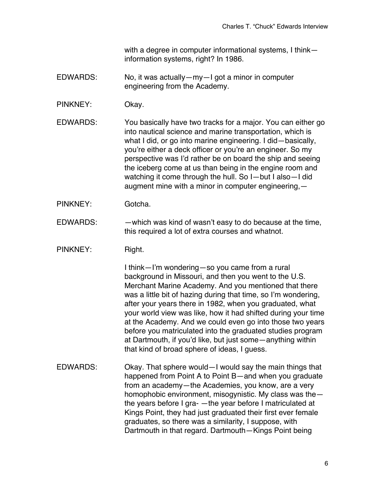with a degree in computer informational systems, I think information systems, right? In 1986.

- EDWARDS: No, it was actually—my—I got a minor in computer engineering from the Academy.
- PINKNEY: Okay.

EDWARDS: You basically have two tracks for a major. You can either go into nautical science and marine transportation, which is what I did, or go into marine engineering. I did—basically, you're either a deck officer or you're an engineer. So my perspective was I'd rather be on board the ship and seeing the iceberg come at us than being in the engine room and watching it come through the hull. So I—but I also—I did augment mine with a minor in computer engineering,—

- PINKNEY: Gotcha.
- EDWARDS: —which was kind of wasn't easy to do because at the time, this required a lot of extra courses and whatnot.
- PINKNEY: Right.

I think—I'm wondering—so you came from a rural background in Missouri, and then you went to the U.S. Merchant Marine Academy. And you mentioned that there was a little bit of hazing during that time, so I'm wondering, after your years there in 1982, when you graduated, what your world view was like, how it had shifted during your time at the Academy. And we could even go into those two years before you matriculated into the graduated studies program at Dartmouth, if you'd like, but just some—anything within that kind of broad sphere of ideas, I guess.

EDWARDS: Okay. That sphere would—I would say the main things that happened from Point A to Point B—and when you graduate from an academy—the Academies, you know, are a very homophobic environment, misogynistic. My class was the the years before I gra- —the year before I matriculated at Kings Point, they had just graduated their first ever female graduates, so there was a similarity, I suppose, with Dartmouth in that regard. Dartmouth—Kings Point being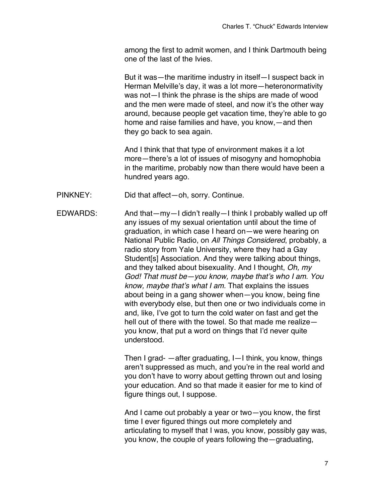among the first to admit women, and I think Dartmouth being one of the last of the Ivies.

But it was—the maritime industry in itself—I suspect back in Herman Melville's day, it was a lot more—heteronormativity was not—I think the phrase is the ships are made of wood and the men were made of steel, and now it's the other way around, because people get vacation time, they're able to go home and raise families and have, you know,—and then they go back to sea again.

And I think that that type of environment makes it a lot more—there's a lot of issues of misogyny and homophobia in the maritime, probably now than there would have been a hundred years ago.

PINKNEY: Did that affect—oh, sorry. Continue.

EDWARDS: And that—my—I didn't really—I think I probably walled up off any issues of my sexual orientation until about the time of graduation, in which case I heard on—we were hearing on National Public Radio, on *All Things Considered*, probably, a radio story from Yale University, where they had a Gay Student[s] Association. And they were talking about things, and they talked about bisexuality. And I thought, *Oh, my God! That must be—you know, maybe that's who I am. You know, maybe that's what I am.* That explains the issues about being in a gang shower when—you know, being fine with everybody else, but then one or two individuals come in and, like, I've got to turn the cold water on fast and get the hell out of there with the towel. So that made me realize you know, that put a word on things that I'd never quite understood.

> Then I grad- —after graduating, I—I think, you know, things aren't suppressed as much, and you're in the real world and you don't have to worry about getting thrown out and losing your education. And so that made it easier for me to kind of figure things out, I suppose.

And I came out probably a year or two—you know, the first time I ever figured things out more completely and articulating to myself that I was, you know, possibly gay was, you know, the couple of years following the—graduating,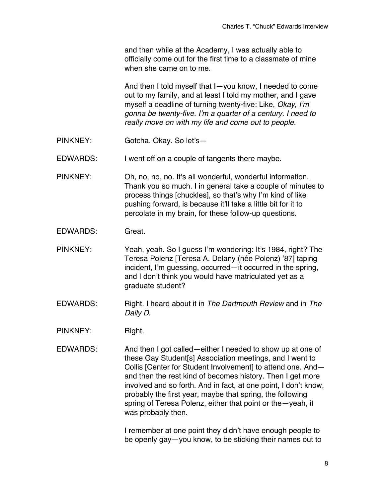and then while at the Academy, I was actually able to officially come out for the first time to a classmate of mine when she came on to me.

And then I told myself that I—you know, I needed to come out to my family, and at least I told my mother, and I gave myself a deadline of turning twenty-five: Like, *Okay, I'm gonna be twenty-five. I'm a quarter of a century. I need to really move on with my life and come out to people.*

PINKNEY: Gotcha. Okay. So let's—

EDWARDS: I went off on a couple of tangents there maybe.

PINKNEY: Oh, no, no, no. It's all wonderful, wonderful information. Thank you so much. I in general take a couple of minutes to process things [chuckles], so that's why I'm kind of like pushing forward, is because it'll take a little bit for it to percolate in my brain, for these follow-up questions.

EDWARDS: Great.

PINKNEY: Yeah, yeah. So I guess I'm wondering: It's 1984, right? The Teresa Polenz [Teresa A. Delany (née Polenz) '87] taping incident, I'm guessing, occurred—it occurred in the spring, and I don't think you would have matriculated yet as a graduate student?

- EDWARDS: Right. I heard about it in *The Dartmouth Review* and in *The Daily D*.
- PINKNEY: Right.
- EDWARDS: And then I got called—either I needed to show up at one of these Gay Student[s] Association meetings, and I went to Collis [Center for Student Involvement] to attend one. And and then the rest kind of becomes history. Then I get more involved and so forth. And in fact, at one point, I don't know, probably the first year, maybe that spring, the following spring of Teresa Polenz, either that point or the—yeah, it was probably then.

I remember at one point they didn't have enough people to be openly gay—you know, to be sticking their names out to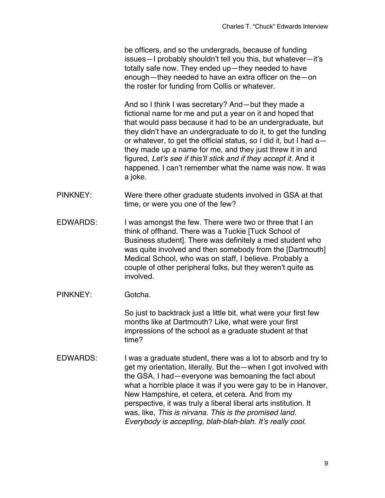be officers, and so the undergrads, because of funding issues—I probably shouldn't tell you this, but whatever—it's totally safe now. They ended up—they needed to have enough—they needed to have an extra officer on the—on the roster for funding from Collis or whatever.

And so I think I was secretary? And—but they made a fictional name for me and put a year on it and hoped that that would pass because it had to be an undergraduate, but they didn't have an undergraduate to do it, to get the funding or whatever, to get the official status, so I did it, but I had a they made up a name for me, and they just threw it in and figured, *Let's see if this'll stick and if they accept it.* And it happened. I can't remember what the name was now. It was a joke.

- PINKNEY: Were there other graduate students involved in GSA at that time, or were you one of the few?
- EDWARDS: I was amongst the few. There were two or three that I an think of offhand. There was a Tuckie [Tuck School of Business student]. There was definitely a med student who was quite involved and then somebody from the [Dartmouth] Medical School, who was on staff, I believe. Probably a couple of other peripheral folks, but they weren't quite as involved.
- PINKNEY: Gotcha.

So just to backtrack just a little bit, what were your first few months like at Dartmouth? Like, what were your first impressions of the school as a graduate student at that time?

EDWARDS: I was a graduate student, there was a lot to absorb and try to get my orientation, literally. But the—when I got involved with the GSA, I had—everyone was bemoaning the fact about what a horrible place it was if you were gay to be in Hanover, New Hampshire, et cetera, et cetera. And from my perspective, it was truly a liberal liberal arts institution. It was, like, *This is nirvana. This is the promised land. Everybody is accepting, blah-blah-blah. It's really cool.*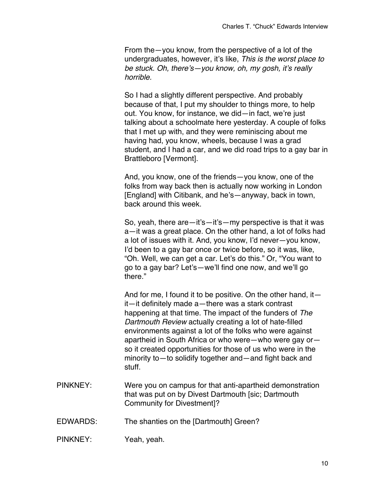From the—you know, from the perspective of a lot of the undergraduates, however, it's like, *This is the worst place to be stuck. Oh, there's—you know, oh, my gosh, it's really horrible.*

So I had a slightly different perspective. And probably because of that, I put my shoulder to things more, to help out. You know, for instance, we did—in fact, we're just talking about a schoolmate here yesterday. A couple of folks that I met up with, and they were reminiscing about me having had, you know, wheels, because I was a grad student, and I had a car, and we did road trips to a gay bar in Brattleboro [Vermont].

And, you know, one of the friends—you know, one of the folks from way back then is actually now working in London [England] with Citibank, and he's—anyway, back in town, back around this week.

So, yeah, there are—it's—it's—my perspective is that it was a—it was a great place. On the other hand, a lot of folks had a lot of issues with it. And, you know, I'd never—you know, I'd been to a gay bar once or twice before, so it was, like, "Oh. Well, we can get a car. Let's do this." Or, "You want to go to a gay bar? Let's—we'll find one now, and we'll go there."

And for me, I found it to be positive. On the other hand, it  $$ it—it definitely made a—there was a stark contrast happening at that time. The impact of the funders of *The Dartmouth Review* actually creating a lot of hate-filled environments against a lot of the folks who were against apartheid in South Africa or who were—who were gay or so it created opportunities for those of us who were in the minority to—to solidify together and—and fight back and stuff.

- PINKNEY: Were you on campus for that anti-apartheid demonstration that was put on by Divest Dartmouth [sic; Dartmouth Community for Divestment]?
- EDWARDS: The shanties on the [Dartmouth] Green?
- PINKNEY: Yeah, yeah.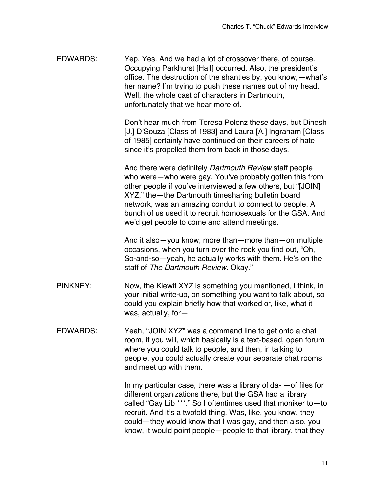EDWARDS: Yep. Yes. And we had a lot of crossover there, of course. Occupying Parkhurst [Hall] occurred. Also, the president's office. The destruction of the shanties by, you know,—what's her name? I'm trying to push these names out of my head. Well, the whole cast of characters in Dartmouth, unfortunately that we hear more of.

> Don't hear much from Teresa Polenz these days, but Dinesh [J.] D'Souza [Class of 1983] and Laura [A.] Ingraham [Class of 1985] certainly have continued on their careers of hate since it's propelled them from back in those days.

> And there were definitely *Dartmouth Review* staff people who were—who were gay. You've probably gotten this from other people if you've interviewed a few others, but "[JOIN] XYZ," the—the Dartmouth timesharing bulletin board network, was an amazing conduit to connect to people. A bunch of us used it to recruit homosexuals for the GSA. And we'd get people to come and attend meetings.

And it also—you know, more than—more than—on multiple occasions, when you turn over the rock you find out, "Oh, So-and-so—yeah, he actually works with them. He's on the staff of *The Dartmouth Review*. Okay."

- PINKNEY: Now, the Kiewit XYZ is something you mentioned, I think, in your initial write-up, on something you want to talk about, so could you explain briefly how that worked or, like, what it was, actually, for—
- EDWARDS: Yeah, "JOIN XYZ" was a command line to get onto a chat room, if you will, which basically is a text-based, open forum where you could talk to people, and then, in talking to people, you could actually create your separate chat rooms and meet up with them.

In my particular case, there was a library of da- —of files for different organizations there, but the GSA had a library called "Gay Lib \*\*\*." So I oftentimes used that moniker to—to recruit. And it's a twofold thing. Was, like, you know, they could—they would know that I was gay, and then also, you know, it would point people—people to that library, that they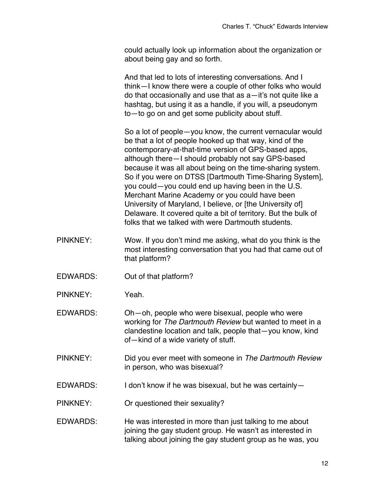could actually look up information about the organization or about being gay and so forth.

And that led to lots of interesting conversations. And I think—I know there were a couple of other folks who would do that occasionally and use that as a—it's not quite like a hashtag, but using it as a handle, if you will, a pseudonym to—to go on and get some publicity about stuff.

So a lot of people—you know, the current vernacular would be that a lot of people hooked up that way, kind of the contemporary-at-that-time version of GPS-based apps, although there—I should probably not say GPS-based because it was all about being on the time-sharing system. So if you were on DTSS [Dartmouth Time-Sharing System], you could—you could end up having been in the U.S. Merchant Marine Academy or you could have been University of Maryland, I believe, or [the University of] Delaware. It covered quite a bit of territory. But the bulk of folks that we talked with were Dartmouth students.

- PINKNEY: Wow. If you don't mind me asking, what do you think is the most interesting conversation that you had that came out of that platform?
- EDWARDS: Out of that platform?
- PINKNEY: Yeah.

EDWARDS: Oh—oh, people who were bisexual, people who were working for *The Dartmouth Review* but wanted to meet in a clandestine location and talk, people that—you know, kind of—kind of a wide variety of stuff.

- PINKNEY: Did you ever meet with someone in *The Dartmouth Review* in person, who was bisexual?
- EDWARDS: I don't know if he was bisexual, but he was certainly—
- PINKNEY: Or questioned their sexuality?
- EDWARDS: He was interested in more than just talking to me about joining the gay student group. He wasn't as interested in talking about joining the gay student group as he was, you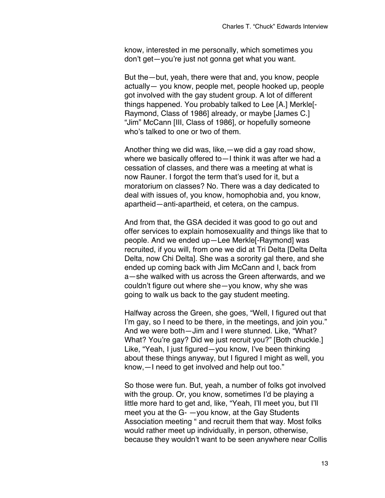know, interested in me personally, which sometimes you don't get—you're just not gonna get what you want.

But the—but, yeah, there were that and, you know, people actually— you know, people met, people hooked up, people got involved with the gay student group. A lot of different things happened. You probably talked to Lee [A.] Merkle[- Raymond, Class of 1986] already, or maybe [James C.] "Jim" McCann [III, Class of 1986], or hopefully someone who's talked to one or two of them.

Another thing we did was, like,—we did a gay road show, where we basically offered to—I think it was after we had a cessation of classes, and there was a meeting at what is now Rauner. I forgot the term that's used for it, but a moratorium on classes? No. There was a day dedicated to deal with issues of, you know, homophobia and, you know, apartheid—anti-apartheid, et cetera, on the campus.

And from that, the GSA decided it was good to go out and offer services to explain homosexuality and things like that to people. And we ended up—Lee Merkle[-Raymond] was recruited, if you will, from one we did at Tri Delta [Delta Delta Delta, now Chi Delta]. She was a sorority gal there, and she ended up coming back with Jim McCann and I, back from a—she walked with us across the Green afterwards, and we couldn't figure out where she—you know, why she was going to walk us back to the gay student meeting.

Halfway across the Green, she goes, "Well, I figured out that I'm gay, so I need to be there, in the meetings, and join you." And we were both—Jim and I were stunned. Like, "What? What? You're gay? Did we just recruit you?" [Both chuckle.] Like, "Yeah, I just figured—you know, I've been thinking about these things anyway, but I figured I might as well, you know,—I need to get involved and help out too."

So those were fun. But, yeah, a number of folks got involved with the group. Or, you know, sometimes I'd be playing a little more hard to get and, like, "Yeah, I'll meet you, but I'll meet you at the G- —you know, at the Gay Students Association meeting " and recruit them that way. Most folks would rather meet up individually, in person, otherwise, because they wouldn't want to be seen anywhere near Collis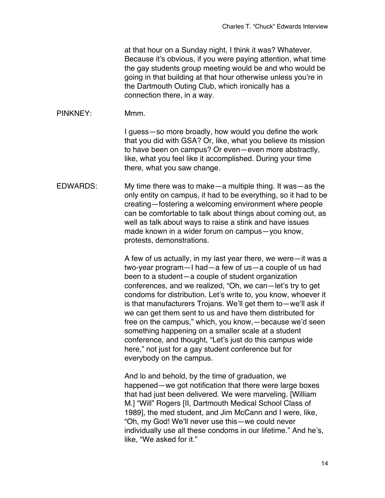at that hour on a Sunday night, I think it was? Whatever. Because it's obvious, if you were paying attention, what time the gay students group meeting would be and who would be going in that building at that hour otherwise unless you're in the Dartmouth Outing Club, which ironically has a connection there, in a way.

## PINKNEY: Mmm.

I guess—so more broadly, how would you define the work that you did with GSA? Or, like, what you believe its mission to have been on campus? Or even—even more abstractly, like, what you feel like it accomplished. During your time there, what you saw change.

EDWARDS: My time there was to make—a multiple thing. It was—as the only entity on campus, it had to be everything, so it had to be creating—fostering a welcoming environment where people can be comfortable to talk about things about coming out, as well as talk about ways to raise a stink and have issues made known in a wider forum on campus—you know, protests, demonstrations.

> A few of us actually, in my last year there, we were—it was a two-year program—I had—a few of us—a couple of us had been to a student—a couple of student organization conferences, and we realized, "Oh, we can—let's try to get condoms for distribution. Let's write to, you know, whoever it is that manufacturers Trojans. We'll get them to—we'll ask if we can get them sent to us and have them distributed for free on the campus," which, you know,—because we'd seen something happening on a smaller scale at a student conference, and thought, "Let's just do this campus wide here," not just for a gay student conference but for everybody on the campus.

And lo and behold, by the time of graduation, we happened—we got notification that there were large boxes that had just been delivered. We were marveling. [William M.] "Will" Rogers [II, Dartmouth Medical School Class of 1989], the med student, and Jim McCann and I were, like, "Oh, my God! We'll never use this—we could never individually use all these condoms in our lifetime." And he's, like, "We asked for it."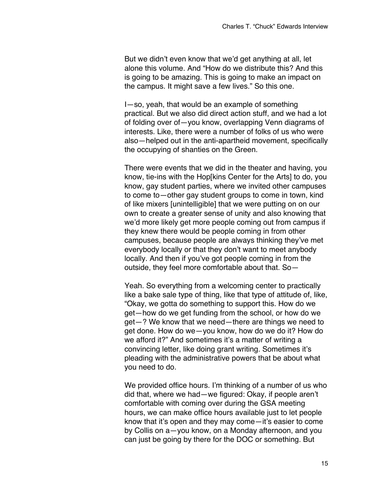But we didn't even know that we'd get anything at all, let alone this volume. And "How do we distribute this? And this is going to be amazing. This is going to make an impact on the campus. It might save a few lives." So this one.

I—so, yeah, that would be an example of something practical. But we also did direct action stuff, and we had a lot of folding over of—you know, overlapping Venn diagrams of interests. Like, there were a number of folks of us who were also—helped out in the anti-apartheid movement, specifically the occupying of shanties on the Green.

There were events that we did in the theater and having, you know, tie-ins with the Hop[kins Center for the Arts] to do, you know, gay student parties, where we invited other campuses to come to—other gay student groups to come in town, kind of like mixers [unintelligible] that we were putting on on our own to create a greater sense of unity and also knowing that we'd more likely get more people coming out from campus if they knew there would be people coming in from other campuses, because people are always thinking they've met everybody locally or that they don't want to meet anybody locally. And then if you've got people coming in from the outside, they feel more comfortable about that. So—

Yeah. So everything from a welcoming center to practically like a bake sale type of thing, like that type of attitude of, like, "Okay, we gotta do something to support this. How do we get—how do we get funding from the school, or how do we get—? We know that we need—there are things we need to get done. How do we—you know, how do we do it? How do we afford it?" And sometimes it's a matter of writing a convincing letter, like doing grant writing. Sometimes it's pleading with the administrative powers that be about what you need to do.

We provided office hours. I'm thinking of a number of us who did that, where we had—we figured: Okay, if people aren't comfortable with coming over during the GSA meeting hours, we can make office hours available just to let people know that it's open and they may come—it's easier to come by Collis on a—you know, on a Monday afternoon, and you can just be going by there for the DOC or something. But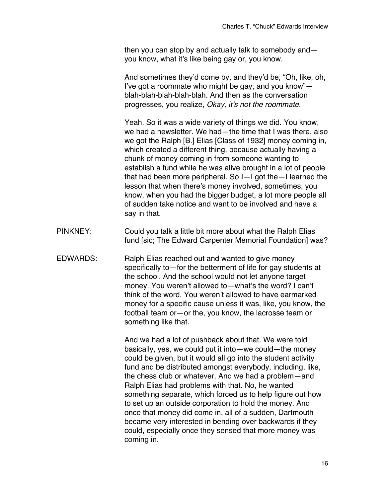then you can stop by and actually talk to somebody and you know, what it's like being gay or, you know.

And sometimes they'd come by, and they'd be, "Oh, like, oh, I've got a roommate who might be gay, and you know" blah-blah-blah-blah-blah. And then as the conversation progresses, you realize, *Okay, it's not the roommate.*

Yeah. So it was a wide variety of things we did. You know, we had a newsletter. We had—the time that I was there, also we got the Ralph [B.] Elias [Class of 1932] money coming in, which created a different thing, because actually having a chunk of money coming in from someone wanting to establish a fund while he was alive brought in a lot of people that had been more peripheral. So I—I got the—I learned the lesson that when there's money involved, sometimes, you know, when you had the bigger budget, a lot more people all of sudden take notice and want to be involved and have a say in that.

- PINKNEY: Could you talk a little bit more about what the Ralph Elias fund [sic; The Edward Carpenter Memorial Foundation] was?
- EDWARDS: Ralph Elias reached out and wanted to give money specifically to—for the betterment of life for gay students at the school. And the school would not let anyone target money. You weren't allowed to—what's the word? I can't think of the word. You weren't allowed to have earmarked money for a specific cause unless it was, like, you know, the football team or—or the, you know, the lacrosse team or something like that.

And we had a lot of pushback about that. We were told basically, yes, we could put it into—we could—the money could be given, but it would all go into the student activity fund and be distributed amongst everybody, including, like, the chess club or whatever. And we had a problem—and Ralph Elias had problems with that. No, he wanted something separate, which forced us to help figure out how to set up an outside corporation to hold the money. And once that money did come in, all of a sudden, Dartmouth became very interested in bending over backwards if they could, especially once they sensed that more money was coming in.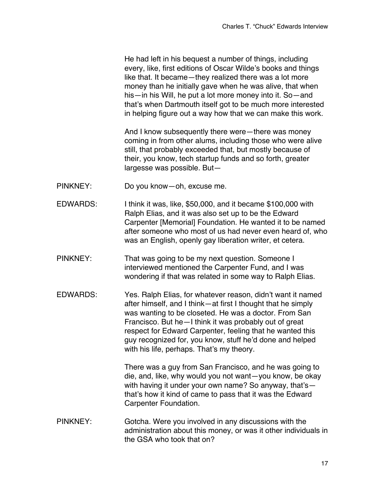He had left in his bequest a number of things, including every, like, first editions of Oscar Wilde's books and things like that. It became—they realized there was a lot more money than he initially gave when he was alive, that when his—in his Will, he put a lot more money into it. So—and that's when Dartmouth itself got to be much more interested in helping figure out a way how that we can make this work.

And I know subsequently there were—there was money coming in from other alums, including those who were alive still, that probably exceeded that, but mostly because of their, you know, tech startup funds and so forth, greater largesse was possible. But—

- PINKNEY: Do you know—oh, excuse me.
- EDWARDS: I think it was, like, \$50,000, and it became \$100,000 with Ralph Elias, and it was also set up to be the Edward Carpenter [Memorial] Foundation. He wanted it to be named after someone who most of us had never even heard of, who was an English, openly gay liberation writer, et cetera.
- PINKNEY: That was going to be my next question. Someone I interviewed mentioned the Carpenter Fund, and I was wondering if that was related in some way to Ralph Elias.
- EDWARDS: Yes. Ralph Elias, for whatever reason, didn't want it named after himself, and I think—at first I thought that he simply was wanting to be closeted. He was a doctor. From San Francisco. But he—I think it was probably out of great respect for Edward Carpenter, feeling that he wanted this guy recognized for, you know, stuff he'd done and helped with his life, perhaps. That's my theory.

There was a guy from San Francisco, and he was going to die, and, like, why would you not want—you know, be okay with having it under your own name? So anyway, that's that's how it kind of came to pass that it was the Edward Carpenter Foundation.

PINKNEY: Gotcha. Were you involved in any discussions with the administration about this money, or was it other individuals in the GSA who took that on?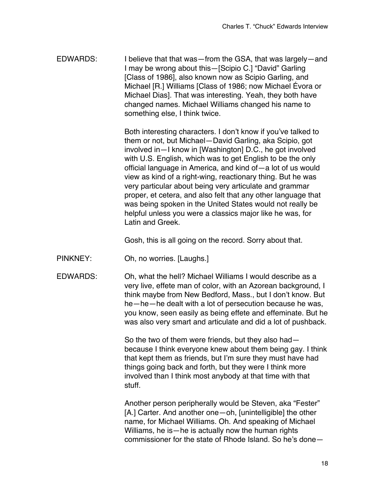EDWARDS: I believe that that was—from the GSA, that was largely—and I may be wrong about this—[Scipio C.] "David" Garling [Class of 1986], also known now as Scipio Garling, and Michael [R.] Williams [Class of 1986; now Michael Évora or Michael Dias]. That was interesting. Yeah, they both have changed names. Michael Williams changed his name to something else, I think twice.

> Both interesting characters. I don't know if you've talked to them or not, but Michael—David Garling, aka Scipio, got involved in—I know in [Washington] D.C., he got involved with U.S. English, which was to get English to be the only official language in America, and kind of—a lot of us would view as kind of a right-wing, reactionary thing. But he was very particular about being very articulate and grammar proper, et cetera, and also felt that any other language that was being spoken in the United States would not really be helpful unless you were a classics major like he was, for Latin and Greek.

Gosh, this is all going on the record. Sorry about that.

- PINKNEY: Oh, no worries. [Laughs.]
- EDWARDS: Oh, what the hell? Michael Williams I would describe as a very live, effete man of color, with an Azorean background, I think maybe from New Bedford, Mass., but I don't know. But he—he—he dealt with a lot of persecution because he was, you know, seen easily as being effete and effeminate. But he was also very smart and articulate and did a lot of pushback.

So the two of them were friends, but they also had because I think everyone knew about them being gay. I think that kept them as friends, but I'm sure they must have had things going back and forth, but they were I think more involved than I think most anybody at that time with that stuff.

Another person peripherally would be Steven, aka "Fester" [A.] Carter. And another one—oh, [unintelligible] the other name, for Michael Williams. Oh. And speaking of Michael Williams, he is—he is actually now the human rights commissioner for the state of Rhode Island. So he's done—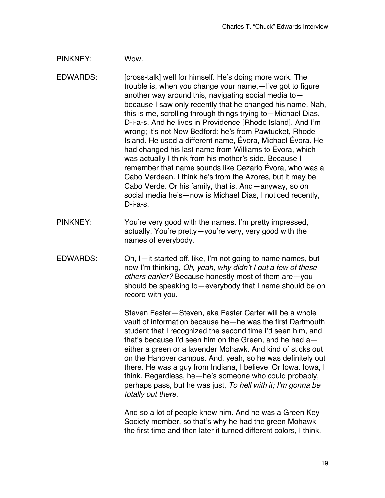## PINKNEY: Wow.

EDWARDS: [cross-talk] well for himself. He's doing more work. The trouble is, when you change your name,—I've got to figure another way around this, navigating social media to because I saw only recently that he changed his name. Nah, this is me, scrolling through things trying to—Michael Dias, D-i-a-s. And he lives in Providence [Rhode Island]. And I'm wrong; it's not New Bedford; he's from Pawtucket, Rhode Island. He used a different name, Évora, Michael Évora. He had changed his last name from Williams to Évora, which was actually I think from his mother's side. Because I remember that name sounds like Cezario Évora, who was a Cabo Verdean. I think he's from the Azores, but it may be Cabo Verde. Or his family, that is. And—anyway, so on social media he's—now is Michael Dias, I noticed recently, D-i-a-s.

- PINKNEY: You're very good with the names. I'm pretty impressed, actually. You're pretty—you're very, very good with the names of everybody.
- EDWARDS: Oh, I—it started off, like, I'm not going to name names, but now I'm thinking, *Oh, yeah, why didn't I out a few of these others earlier?* Because honestly most of them are—you should be speaking to—everybody that I name should be on record with you.

Steven Fester—Steven, aka Fester Carter will be a whole vault of information because he—he was the first Dartmouth student that I recognized the second time I'd seen him, and that's because I'd seen him on the Green, and he had a either a green or a lavender Mohawk. And kind of sticks out on the Hanover campus. And, yeah, so he was definitely out there. He was a guy from Indiana, I believe. Or Iowa. Iowa, I think. Regardless, he—he's someone who could probably, perhaps pass, but he was just, *To hell with it; I'm gonna be totally out there.*

And so a lot of people knew him. And he was a Green Key Society member, so that's why he had the green Mohawk the first time and then later it turned different colors, I think.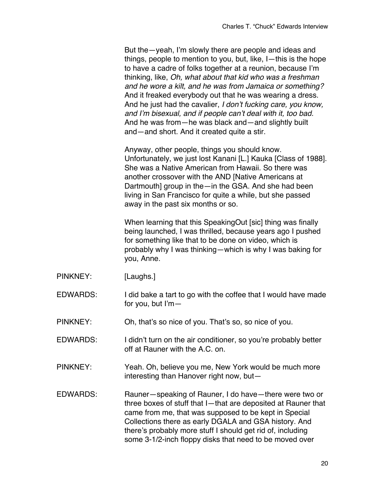But the—yeah, I'm slowly there are people and ideas and things, people to mention to you, but, like, I—this is the hope to have a cadre of folks together at a reunion, because I'm thinking, like, *Oh, what about that kid who was a freshman and he wore a kilt, and he was from Jamaica or something?*  And it freaked everybody out that he was wearing a dress. And he just had the cavalier, *I don't fucking care, you know, and I'm bisexual, and if people can't deal with it, too bad.*  And he was from—he was black and—and slightly built and—and short. And it created quite a stir.

Anyway, other people, things you should know. Unfortunately, we just lost Kanani [L.] Kauka [Class of 1988]. She was a Native American from Hawaii. So there was another crossover with the AND [Native Americans at Dartmouth] group in the—in the GSA. And she had been living in San Francisco for quite a while, but she passed away in the past six months or so.

When learning that this SpeakingOut [sic] thing was finally being launched, I was thrilled, because years ago I pushed for something like that to be done on video, which is probably why I was thinking—which is why I was baking for you, Anne.

- PINKNEY: [Laughs.]
- EDWARDS: I did bake a tart to go with the coffee that I would have made for you, but I'm—
- PINKNEY: Oh, that's so nice of you. That's so, so nice of you.
- EDWARDS: I didn't turn on the air conditioner, so you're probably better off at Rauner with the A.C. on.
- PINKNEY: Yeah. Oh, believe you me, New York would be much more interesting than Hanover right now, but—
- EDWARDS: Rauner-speaking of Rauner, I do have-there were two or three boxes of stuff that I—that are deposited at Rauner that came from me, that was supposed to be kept in Special Collections there as early DGALA and GSA history. And there's probably more stuff I should get rid of, including some 3-1/2-inch floppy disks that need to be moved over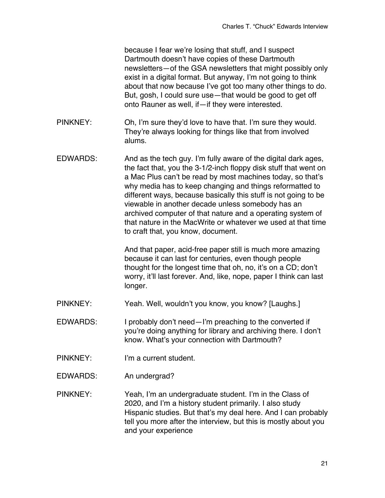because I fear we're losing that stuff, and I suspect Dartmouth doesn't have copies of these Dartmouth newsletters—of the GSA newsletters that might possibly only exist in a digital format. But anyway, I'm not going to think about that now because I've got too many other things to do. But, gosh, I could sure use—that would be good to get off onto Rauner as well, if—if they were interested.

- PINKNEY: Oh, I'm sure they'd love to have that. I'm sure they would. They're always looking for things like that from involved alums.
- EDWARDS: And as the tech guy. I'm fully aware of the digital dark ages, the fact that, you the 3-1/2-inch floppy disk stuff that went on a Mac Plus can't be read by most machines today, so that's why media has to keep changing and things reformatted to different ways, because basically this stuff is not going to be viewable in another decade unless somebody has an archived computer of that nature and a operating system of that nature in the MacWrite or whatever we used at that time to craft that, you know, document.

And that paper, acid-free paper still is much more amazing because it can last for centuries, even though people thought for the longest time that oh, no, it's on a CD; don't worry, it'll last forever. And, like, nope, paper I think can last longer.

- PINKNEY: Yeah. Well, wouldn't you know, you know? [Laughs.]
- EDWARDS: I probably don't need—I'm preaching to the converted if you're doing anything for library and archiving there. I don't know. What's your connection with Dartmouth?
- PINKNEY: I'm a current student.
- EDWARDS: An undergrad?
- PINKNEY: Yeah, I'm an undergraduate student. I'm in the Class of 2020, and I'm a history student primarily. I also study Hispanic studies. But that's my deal here. And I can probably tell you more after the interview, but this is mostly about you and your experience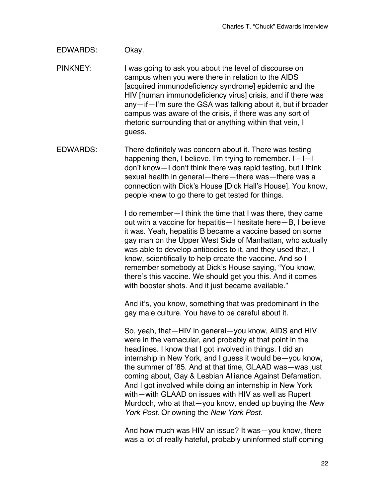## EDWARDS: Okay.

PINKNEY: I was going to ask you about the level of discourse on campus when you were there in relation to the AIDS [acquired immunodeficiency syndrome] epidemic and the HIV [human immunodeficiency virus] crisis, and if there was any—if—I'm sure the GSA was talking about it, but if broader campus was aware of the crisis, if there was any sort of rhetoric surrounding that or anything within that vein, I guess.

EDWARDS: There definitely was concern about it. There was testing happening then, I believe. I'm trying to remember. I—I—I don't know—I don't think there was rapid testing, but I think sexual health in general—there—there was—there was a connection with Dick's House [Dick Hall's House]. You know, people knew to go there to get tested for things.

> I do remember—I think the time that I was there, they came out with a vaccine for hepatitis—I hesitate here—B, I believe it was. Yeah, hepatitis B became a vaccine based on some gay man on the Upper West Side of Manhattan, who actually was able to develop antibodies to it, and they used that, I know, scientifically to help create the vaccine. And so I remember somebody at Dick's House saying, "You know, there's this vaccine. We should get you this. And it comes with booster shots. And it just became available."

And it's, you know, something that was predominant in the gay male culture. You have to be careful about it.

So, yeah, that—HIV in general—you know, AIDS and HIV were in the vernacular, and probably at that point in the headlines. I know that I got involved in things. I did an internship in New York, and I guess it would be—you know, the summer of '85. And at that time, GLAAD was—was just coming about, Gay & Lesbian Alliance Against Defamation. And I got involved while doing an internship in New York with—with GLAAD on issues with HIV as well as Rupert Murdoch, who at that—you know, ended up buying the *New York Post*. Or owning the *New York Post*.

And how much was HIV an issue? It was—you know, there was a lot of really hateful, probably uninformed stuff coming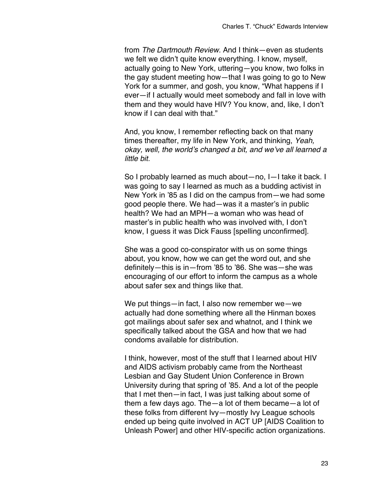from *The Dartmouth Review.* And I think—even as students we felt we didn't quite know everything. I know, myself, actually going to New York, uttering—you know, two folks in the gay student meeting how—that I was going to go to New York for a summer, and gosh, you know, "What happens if I ever—if I actually would meet somebody and fall in love with them and they would have HIV? You know, and, like, I don't know if I can deal with that."

And, you know, I remember reflecting back on that many times thereafter, my life in New York, and thinking, *Yeah, okay, well, the world's changed a bit, and we've all learned a little bit.*

So I probably learned as much about—no, I—I take it back. I was going to say I learned as much as a budding activist in New York in '85 as I did on the campus from—we had some good people there. We had—was it a master's in public health? We had an MPH—a woman who was head of master's in public health who was involved with, I don't know, I guess it was Dick Fauss [spelling unconfirmed].

She was a good co-conspirator with us on some things about, you know, how we can get the word out, and she definitely—this is in—from '85 to '86. She was—she was encouraging of our effort to inform the campus as a whole about safer sex and things like that.

We put things—in fact, I also now remember we—we actually had done something where all the Hinman boxes got mailings about safer sex and whatnot, and I think we specifically talked about the GSA and how that we had condoms available for distribution.

I think, however, most of the stuff that I learned about HIV and AIDS activism probably came from the Northeast Lesbian and Gay Student Union Conference in Brown University during that spring of '85. And a lot of the people that I met then—in fact, I was just talking about some of them a few days ago. The—a lot of them became—a lot of these folks from different Ivy—mostly Ivy League schools ended up being quite involved in ACT UP [AIDS Coalition to Unleash Power] and other HIV-specific action organizations.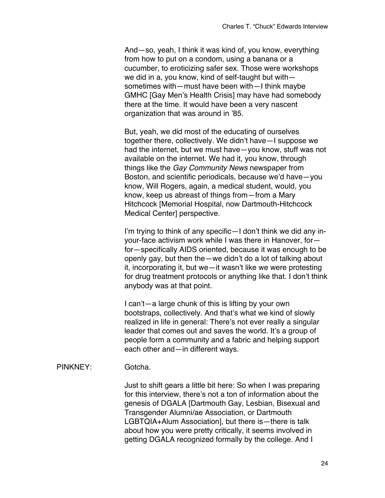And—so, yeah, I think it was kind of, you know, everything from how to put on a condom, using a banana or a cucumber, to eroticizing safer sex. Those were workshops we did in a, you know, kind of self-taught but with sometimes with—must have been with—I think maybe GMHC [Gay Men's Health Crisis] may have had somebody there at the time. It would have been a very nascent organization that was around in '85.

But, yeah, we did most of the educating of ourselves together there, collectively. We didn't have—I suppose we had the internet, but we must have—you know, stuff was not available on the internet. We had it, you know, through things like the *Gay Community News* newspaper from Boston, and scientific periodicals, because we'd have—you know, Will Rogers, again, a medical student, would, you know, keep us abreast of things from—from a Mary Hitchcock [Memorial Hospital, now Dartmouth-Hitchcock Medical Center] perspective.

I'm trying to think of any specific—I don't think we did any inyour-face activism work while I was there in Hanover, for for—specifically AIDS oriented, because it was enough to be openly gay, but then the—we didn't do a lot of talking about it, incorporating it, but we—it wasn't like we were protesting for drug treatment protocols or anything like that. I don't think anybody was at that point.

I can't—a large chunk of this is lifting by your own bootstraps, collectively. And that's what we kind of slowly realized in life in general: There's not ever really a singular leader that comes out and saves the world. It's a group of people form a community and a fabric and helping support each other and—in different ways.

## PINKNEY: Gotcha.

Just to shift gears a little bit here: So when I was preparing for this interview, there's not a ton of information about the genesis of DGALA [Dartmouth Gay, Lesbian, Bisexual and Transgender Alumni/ae Association, or Dartmouth LGBTQIA+Alum Association], but there is—there is talk about how you were pretty critically, it seems involved in getting DGALA recognized formally by the college. And I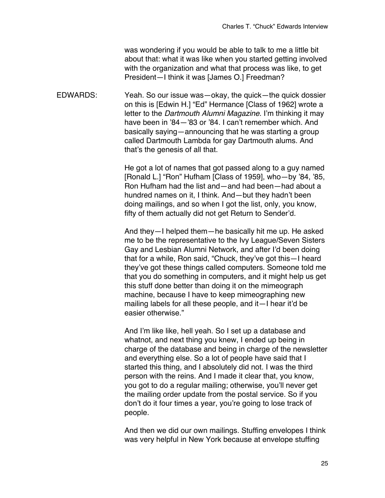was wondering if you would be able to talk to me a little bit about that: what it was like when you started getting involved with the organization and what that process was like, to get President—I think it was [James O.] Freedman?

EDWARDS: Yeah. So our issue was—okay, the quick—the quick dossier on this is [Edwin H.] "Ed" Hermance [Class of 1962] wrote a letter to the *Dartmouth Alumni Magazine*. I'm thinking it may have been in '84—'83 or '84. I can't remember which. And basically saying—announcing that he was starting a group called Dartmouth Lambda for gay Dartmouth alums. And that's the genesis of all that.

> He got a lot of names that got passed along to a guy named [Ronald L.] "Ron" Hufham [Class of 1959], who—by '84, '85, Ron Hufham had the list and—and had been—had about a hundred names on it, I think. And—but they hadn't been doing mailings, and so when I got the list, only, you know, fifty of them actually did not get Return to Sender'd.

> And they—I helped them—he basically hit me up. He asked me to be the representative to the Ivy League/Seven Sisters Gay and Lesbian Alumni Network, and after I'd been doing that for a while, Ron said, "Chuck, they've got this—I heard they've got these things called computers. Someone told me that you do something in computers, and it might help us get this stuff done better than doing it on the mimeograph machine, because I have to keep mimeographing new mailing labels for all these people, and it—I hear it'd be easier otherwise."

> And I'm like like, hell yeah. So I set up a database and whatnot, and next thing you knew, I ended up being in charge of the database and being in charge of the newsletter and everything else. So a lot of people have said that I started this thing, and I absolutely did not. I was the third person with the reins. And I made it clear that, you know, you got to do a regular mailing; otherwise, you'll never get the mailing order update from the postal service. So if you don't do it four times a year, you're going to lose track of people.

> And then we did our own mailings. Stuffing envelopes I think was very helpful in New York because at envelope stuffing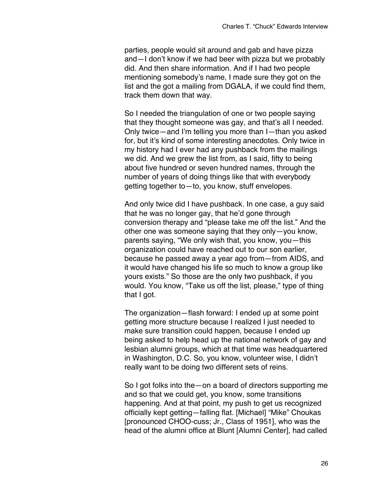parties, people would sit around and gab and have pizza and—I don't know if we had beer with pizza but we probably did. And then share information. And if I had two people mentioning somebody's name, I made sure they got on the list and the got a mailing from DGALA, if we could find them, track them down that way.

So I needed the triangulation of one or two people saying that they thought someone was gay, and that's all I needed. Only twice—and I'm telling you more than I—than you asked for, but it's kind of some interesting anecdotes. Only twice in my history had I ever had any pushback from the mailings we did. And we grew the list from, as I said, fifty to being about five hundred or seven hundred names, through the number of years of doing things like that with everybody getting together to—to, you know, stuff envelopes.

And only twice did I have pushback. In one case, a guy said that he was no longer gay, that he'd gone through conversion therapy and "please take me off the list." And the other one was someone saying that they only—you know, parents saying, "We only wish that, you know, you—this organization could have reached out to our son earlier, because he passed away a year ago from—from AIDS, and it would have changed his life so much to know a group like yours exists." So those are the only two pushback, if you would. You know, "Take us off the list, please," type of thing that I got.

The organization—flash forward: I ended up at some point getting more structure because I realized I just needed to make sure transition could happen, because I ended up being asked to help head up the national network of gay and lesbian alumni groups, which at that time was headquartered in Washington, D.C. So, you know, volunteer wise, I didn't really want to be doing two different sets of reins.

So I got folks into the—on a board of directors supporting me and so that we could get, you know, some transitions happening. And at that point, my push to get us recognized officially kept getting—falling flat. [Michael] "Mike" Choukas [pronounced CHOO-cuss; Jr., Class of 1951], who was the head of the alumni office at Blunt [Alumni Center], had called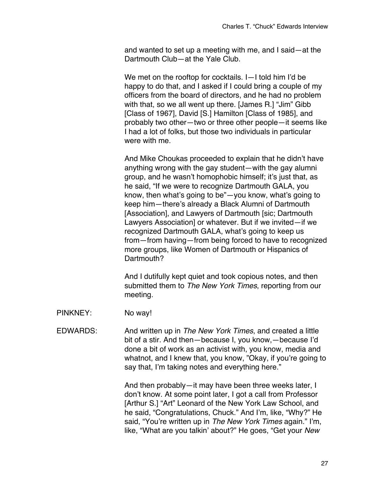and wanted to set up a meeting with me, and I said—at the Dartmouth Club—at the Yale Club.

We met on the rooftop for cocktails. I—I told him I'd be happy to do that, and I asked if I could bring a couple of my officers from the board of directors, and he had no problem with that, so we all went up there. [James R.] "Jim" Gibb [Class of 1967], David [S.] Hamilton [Class of 1985], and probably two other—two or three other people—it seems like I had a lot of folks, but those two individuals in particular were with me.

And Mike Choukas proceeded to explain that he didn't have anything wrong with the gay student—with the gay alumni group, and he wasn't homophobic himself; it's just that, as he said, "If we were to recognize Dartmouth GALA, you know, then what's going to be"—you know, what's going to keep him—there's already a Black Alumni of Dartmouth [Association], and Lawyers of Dartmouth [sic; Dartmouth] Lawyers Association] or whatever. But if we invited—if we recognized Dartmouth GALA, what's going to keep us from—from having—from being forced to have to recognized more groups, like Women of Dartmouth or Hispanics of Dartmouth?

And I dutifully kept quiet and took copious notes, and then submitted them to *The New York Times*, reporting from our meeting.

- PINKNEY: No way!
- EDWARDS: And written up in *The New York Times*, and created a little bit of a stir. And then—because I, you know,—because I'd done a bit of work as an activist with, you know, media and whatnot, and I knew that, you know, "Okay, if you're going to say that, I'm taking notes and everything here."

And then probably—it may have been three weeks later, I don't know. At some point later, I got a call from Professor [Arthur S.] "Art" Leonard of the New York Law School, and he said, "Congratulations, Chuck." And I'm, like, "Why?" He said, "You're written up in *The New York Times* again." I'm, like, "What are you talkin' about?" He goes, "Get your *New*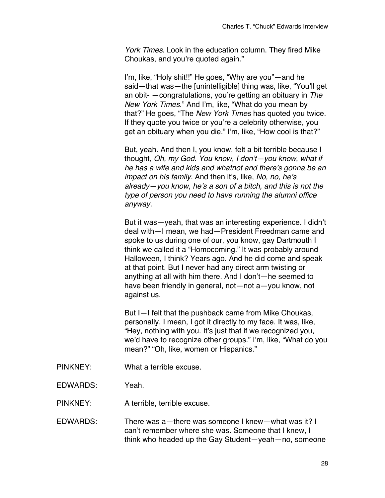*York Times*. Look in the education column. They fired Mike Choukas, and you're quoted again."

I'm, like, "Holy shit!!" He goes, "Why are you"—and he said—that was—the [unintelligible] thing was, like, "You'll get an obit- —congratulations, you're getting an obituary in *The New York Times*." And I'm, like, "What do you mean by that?" He goes, "The *New York Times* has quoted you twice. If they quote you twice or you're a celebrity otherwise, you get an obituary when you die." I'm, like, "How cool is that?"

But, yeah. And then I, you know, felt a bit terrible because I thought, *Oh, my God. You know, I don't—you know, what if he has a wife and kids and whatnot and there's gonna be an impact on his family.* And then it's, like, *No, no, he's already—you know, he's a son of a bitch, and this is not the type of person you need to have running the alumni office anyway.*

But it was—yeah, that was an interesting experience. I didn't deal with—I mean, we had—President Freedman came and spoke to us during one of our, you know, gay Dartmouth I think we called it a "Homocoming." It was probably around Halloween, I think? Years ago. And he did come and speak at that point. But I never had any direct arm twisting or anything at all with him there. And I don't—he seemed to have been friendly in general, not—not a—you know, not against us.

But I—I felt that the pushback came from Mike Choukas, personally. I mean, I got it directly to my face. It was, like, "Hey, nothing with you. It's just that if we recognized you, we'd have to recognize other groups." I'm, like, "What do you mean?" "Oh, like, women or Hispanics."

- PINKNEY: What a terrible excuse.
- EDWARDS: Yeah.

PINKNEY: A terrible, terrible excuse.

EDWARDS: There was a—there was someone I knew—what was it? I can't remember where she was. Someone that I knew, I think who headed up the Gay Student—yeah—no, someone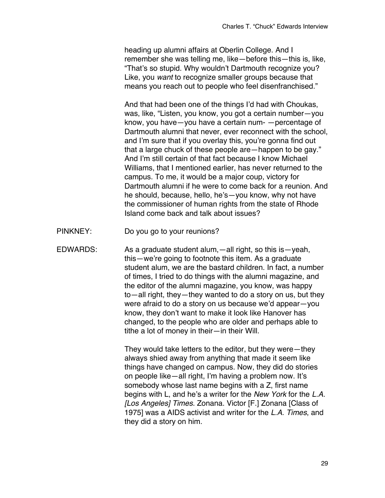heading up alumni affairs at Oberlin College. And I remember she was telling me, like—before this—this is, like, "That's so stupid. Why wouldn't Dartmouth recognize you? Like, you *want* to recognize smaller groups because that means you reach out to people who feel disenfranchised."

And that had been one of the things I'd had with Choukas, was, like, "Listen, you know, you got a certain number—you know, you have—you have a certain num- —percentage of Dartmouth alumni that never, ever reconnect with the school, and I'm sure that if you overlay this, you're gonna find out that a large chuck of these people are—happen to be gay." And I'm still certain of that fact because I know Michael Williams, that I mentioned earlier, has never returned to the campus. To me, it would be a major coup, victory for Dartmouth alumni if he were to come back for a reunion. And he should, because, hello, he's—you know, why not have the commissioner of human rights from the state of Rhode Island come back and talk about issues?

PINKNEY: Do you go to your reunions?

EDWARDS: As a graduate student alum,—all right, so this is—yeah, this—we're going to footnote this item. As a graduate student alum, we are the bastard children. In fact, a number of times, I tried to do things with the alumni magazine, and the editor of the alumni magazine, you know, was happy to—all right, they—they wanted to do a story on us, but they were afraid to do a story on us because we'd appear—you know, they don't want to make it look like Hanover has changed, to the people who are older and perhaps able to tithe a lot of money in their—in their Will.

> They would take letters to the editor, but they were—they always shied away from anything that made it seem like things have changed on campus. Now, they did do stories on people like—all right, I'm having a problem now. It's somebody whose last name begins with a Z, first name begins with L, and he's a writer for the *New York* for the *L.A. [Los Angeles] Times.* Zonana. Victor [F.] Zonana [Class of 1975] was a AIDS activist and writer for the *L.A. Times*, and they did a story on him.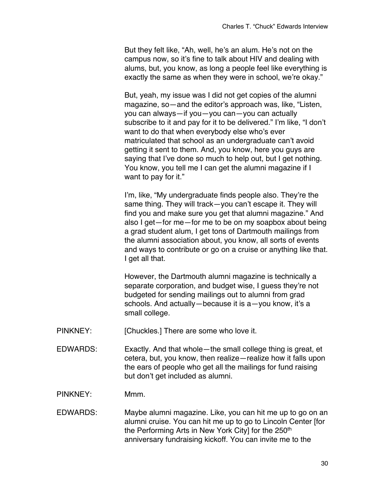But they felt like, "Ah, well, he's an alum. He's not on the campus now, so it's fine to talk about HIV and dealing with alums, but, you know, as long a people feel like everything is exactly the same as when they were in school, we're okay."

But, yeah, my issue was I did not get copies of the alumni magazine, so—and the editor's approach was, like, "Listen, you can always—if you—you can—you can actually subscribe to it and pay for it to be delivered." I'm like, "I don't want to do that when everybody else who's ever matriculated that school as an undergraduate can't avoid getting it sent to them. And, you know, here you guys are saying that I've done so much to help out, but I get nothing. You know, you tell me I can get the alumni magazine if I want to pay for it."

I'm, like, "My undergraduate finds people also. They're the same thing. They will track—you can't escape it. They will find you and make sure you get that alumni magazine." And also I get—for me—for me to be on my soapbox about being a grad student alum, I get tons of Dartmouth mailings from the alumni association about, you know, all sorts of events and ways to contribute or go on a cruise or anything like that. I get all that.

However, the Dartmouth alumni magazine is technically a separate corporation, and budget wise, I guess they're not budgeted for sending mailings out to alumni from grad schools. And actually—because it is a—you know, it's a small college.

PINKNEY: [Chuckles.] There are some who love it.

- EDWARDS: Exactly. And that whole—the small college thing is great, et cetera, but, you know, then realize—realize how it falls upon the ears of people who get all the mailings for fund raising but don't get included as alumni.
- PINKNEY: Mmm.
- EDWARDS: Maybe alumni magazine. Like, you can hit me up to go on an alumni cruise. You can hit me up to go to Lincoln Center [for the Performing Arts in New York Cityl for the 250<sup>th</sup> anniversary fundraising kickoff. You can invite me to the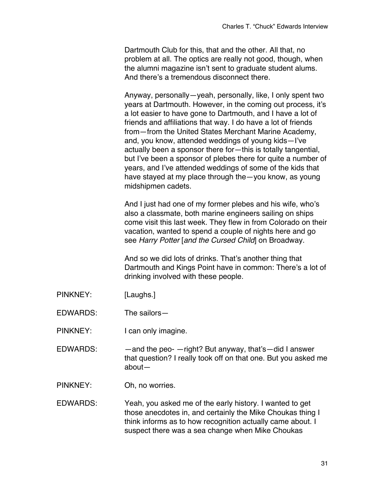Dartmouth Club for this, that and the other. All that, no problem at all. The optics are really not good, though, when the alumni magazine isn't sent to graduate student alums. And there's a tremendous disconnect there.

Anyway, personally—yeah, personally, like, I only spent two years at Dartmouth. However, in the coming out process, it's a lot easier to have gone to Dartmouth, and I have a lot of friends and affiliations that way. I do have a lot of friends from—from the United States Merchant Marine Academy, and, you know, attended weddings of young kids—I've actually been a sponsor there for—this is totally tangential, but I've been a sponsor of plebes there for quite a number of years, and I've attended weddings of some of the kids that have stayed at my place through the—you know, as young midshipmen cadets.

And I just had one of my former plebes and his wife, who's also a classmate, both marine engineers sailing on ships come visit this last week. They flew in from Colorado on their vacation, wanted to spend a couple of nights here and go see *Harry Potter* [*and the Cursed Child*] on Broadway.

And so we did lots of drinks. That's another thing that Dartmouth and Kings Point have in common: There's a lot of drinking involved with these people.

- PINKNEY: [Laughs.]
- EDWARDS: The sailors—
- PINKNEY: I can only imagine.
- EDWARDS: —and the peo- —right? But anyway, that's—did I answer that question? I really took off on that one. But you asked me about—
- PINKNEY: Oh, no worries.
- EDWARDS: Yeah, you asked me of the early history. I wanted to get those anecdotes in, and certainly the Mike Choukas thing I think informs as to how recognition actually came about. I suspect there was a sea change when Mike Choukas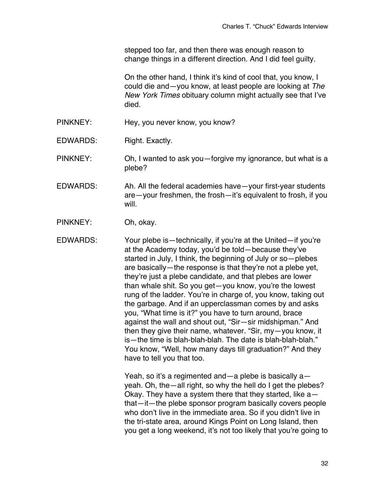stepped too far, and then there was enough reason to change things in a different direction. And I did feel guilty.

On the other hand, I think it's kind of cool that, you know, I could die and—you know, at least people are looking at *The New York Times* obituary column might actually see that I've died.

- PINKNEY: Hey, you never know, you know?
- EDWARDS: Right. Exactly.
- PINKNEY: Oh, I wanted to ask you—forgive my ignorance, but what is a plebe?
- EDWARDS: Ah. All the federal academies have—your first-year students are—your freshmen, the frosh—it's equivalent to frosh, if you will.
- PINKNEY: Oh, okay.
- EDWARDS: Your plebe is—technically, if you're at the United—if you're at the Academy today, you'd be told—because they've started in July, I think, the beginning of July or so—plebes are basically—the response is that they're not a plebe yet, they're just a plebe candidate, and that plebes are lower than whale shit. So you get—you know, you're the lowest rung of the ladder. You're in charge of, you know, taking out the garbage. And if an upperclassman comes by and asks you, "What time is it?" you have to turn around, brace against the wall and shout out, "Sir—sir midshipman." And then they give their name, whatever. "Sir, my—you know, it is—the time is blah-blah-blah. The date is blah-blah-blah." You know, "Well, how many days till graduation?" And they have to tell you that too.

Yeah, so it's a regimented and—a plebe is basically  $a$  yeah. Oh, the—all right, so why the hell do I get the plebes? Okay. They have a system there that they started, like a that—it—the plebe sponsor program basically covers people who don't live in the immediate area. So if you didn't live in the tri-state area, around Kings Point on Long Island, then you get a long weekend, it's not too likely that you're going to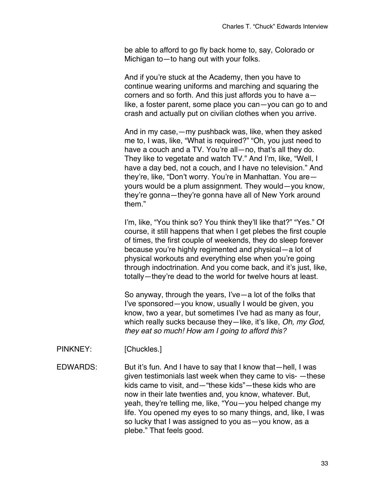be able to afford to go fly back home to, say, Colorado or Michigan to—to hang out with your folks.

And if you're stuck at the Academy, then you have to continue wearing uniforms and marching and squaring the corners and so forth. And this just affords you to have a like, a foster parent, some place you can—you can go to and crash and actually put on civilian clothes when you arrive.

And in my case,—my pushback was, like, when they asked me to, I was, like, "What is required?" "Oh, you just need to have a couch and a TV. You're all-no, that's all they do. They like to vegetate and watch TV." And I'm, like, "Well, I have a day bed, not a couch, and I have no television." And they're, like, "Don't worry. You're in Manhattan. You are yours would be a plum assignment. They would—you know, they're gonna—they're gonna have all of New York around them."

I'm, like, "You think so? You think they'll like that?" "Yes." Of course, it still happens that when I get plebes the first couple of times, the first couple of weekends, they do sleep forever because you're highly regimented and physical—a lot of physical workouts and everything else when you're going through indoctrination. And you come back, and it's just, like, totally—they're dead to the world for twelve hours at least.

So anyway, through the years, I've—a lot of the folks that I've sponsored—you know, usually I would be given, you know, two a year, but sometimes I've had as many as four, which really sucks because they—like, it's like, *Oh, my God, they eat so much! How am I going to afford this?*

- PINKNEY: [Chuckles.]
- EDWARDS: But it's fun. And I have to say that I know that—hell, I was given testimonials last week when they came to vis- —these kids came to visit, and—"these kids"—these kids who are now in their late twenties and, you know, whatever. But, yeah, they're telling me, like, "You—you helped change my life. You opened my eyes to so many things, and, like, I was so lucky that I was assigned to you as—you know, as a plebe." That feels good.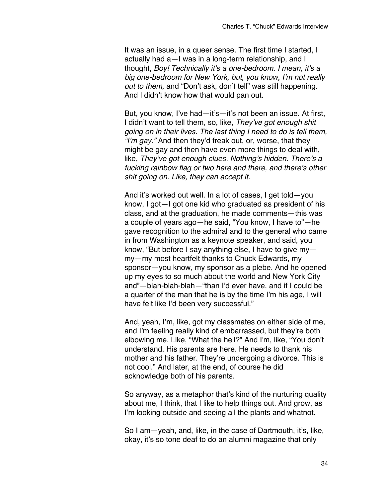It was an issue, in a queer sense. The first time I started, I actually had a—I was in a long-term relationship, and I thought, *Boy! Technically it's a one-bedroom. I mean, it's a big one-bedroom for New York, but, you know, I'm not really out to them,* and "Don't ask, don't tell" was still happening. And I didn't know how that would pan out.

But, you know, I've had—it's—it's not been an issue. At first, I didn't want to tell them, so, like, *They've got enough shit going on in their lives. The last thing I need to do is tell them, "I'm gay."* And then they'd freak out, or, worse, that they might be gay and then have even more things to deal with, like, *They've got enough clues. Nothing's hidden. There's a fucking rainbow flag or two here and there, and there's other shit going on. Like, they can accept it.*

And it's worked out well. In a lot of cases, I get told—you know, I got—I got one kid who graduated as president of his class, and at the graduation, he made comments—this was a couple of years ago—he said, "You know, I have to"—he gave recognition to the admiral and to the general who came in from Washington as a keynote speaker, and said, you know, "But before I say anything else, I have to give my my—my most heartfelt thanks to Chuck Edwards, my sponsor—you know, my sponsor as a plebe. And he opened up my eyes to so much about the world and New York City and"—blah-blah-blah—"than I'd ever have, and if I could be a quarter of the man that he is by the time I'm his age, I will have felt like I'd been very successful."

And, yeah, I'm, like, got my classmates on either side of me, and I'm feeling really kind of embarrassed, but they're both elbowing me. Like, "What the hell?" And I'm, like, "You don't understand. His parents are here. He needs to thank his mother and his father. They're undergoing a divorce. This is not cool." And later, at the end, of course he did acknowledge both of his parents.

So anyway, as a metaphor that's kind of the nurturing quality about me, I think, that I like to help things out. And grow, as I'm looking outside and seeing all the plants and whatnot.

So I am—yeah, and, like, in the case of Dartmouth, it's, like, okay, it's so tone deaf to do an alumni magazine that only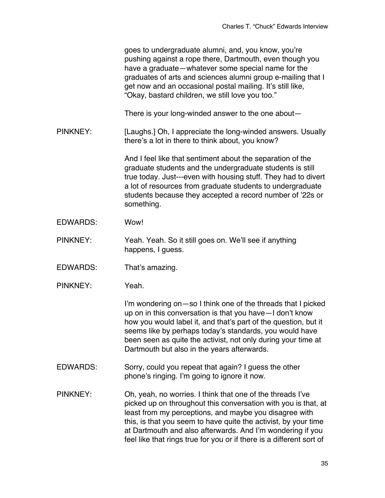|                 | goes to undergraduate alumni, and, you know, you're<br>pushing against a rope there, Dartmouth, even though you<br>have a graduate—whatever some special name for the<br>graduates of arts and sciences alumni group e-mailing that I<br>get now and an occasional postal mailing. It's still like,<br>"Okay, bastard children, we still love you too."                                         |
|-----------------|-------------------------------------------------------------------------------------------------------------------------------------------------------------------------------------------------------------------------------------------------------------------------------------------------------------------------------------------------------------------------------------------------|
|                 | There is your long-winded answer to the one about-                                                                                                                                                                                                                                                                                                                                              |
| <b>PINKNEY:</b> | [Laughs.] Oh, I appreciate the long-winded answers. Usually<br>there's a lot in there to think about, you know?                                                                                                                                                                                                                                                                                 |
|                 | And I feel like that sentiment about the separation of the<br>graduate students and the undergraduate students is still<br>true today. Just---even with housing stuff. They had to divert<br>a lot of resources from graduate students to undergraduate<br>students because they accepted a record number of '22s or<br>something.                                                              |
| <b>EDWARDS:</b> | Wow!                                                                                                                                                                                                                                                                                                                                                                                            |
| <b>PINKNEY:</b> | Yeah. Yeah. So it still goes on. We'll see if anything<br>happens, I guess.                                                                                                                                                                                                                                                                                                                     |
| <b>EDWARDS:</b> | That's amazing.                                                                                                                                                                                                                                                                                                                                                                                 |
| <b>PINKNEY:</b> | Yeah.                                                                                                                                                                                                                                                                                                                                                                                           |
|                 | I'm wondering on - so I think one of the threads that I picked<br>up on in this conversation is that you have-I don't know<br>how you would label it, and that's part of the question, but it<br>seems like by perhaps today's standards, you would have<br>been seen as quite the activist, not only during your time at<br>Dartmouth but also in the years afterwards.                        |
| <b>EDWARDS:</b> | Sorry, could you repeat that again? I guess the other<br>phone's ringing. I'm going to ignore it now.                                                                                                                                                                                                                                                                                           |
| <b>PINKNEY:</b> | Oh, yeah, no worries. I think that one of the threads I've<br>picked up on throughout this conversation with you is that, at<br>least from my perceptions, and maybe you disagree with<br>this, is that you seem to have quite the activist, by your time<br>at Dartmouth and also afterwards. And I'm wondering if you<br>feel like that rings true for you or if there is a different sort of |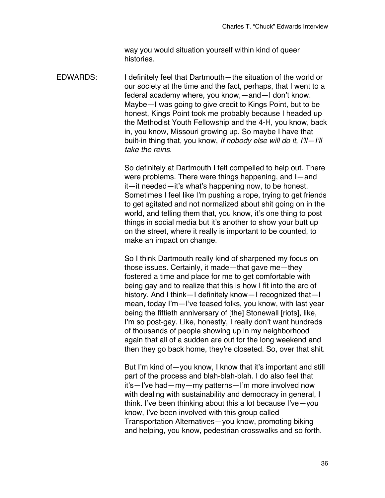way you would situation yourself within kind of queer histories.

EDWARDS: I definitely feel that Dartmouth—the situation of the world or our society at the time and the fact, perhaps, that I went to a federal academy where, you know,—and—I don't know. Maybe—I was going to give credit to Kings Point, but to be honest, Kings Point took me probably because I headed up the Methodist Youth Fellowship and the 4-H, you know, back in, you know, Missouri growing up. So maybe I have that built-in thing that, you know, *If nobody else will do it, I'll—I'll take the reins.*

> So definitely at Dartmouth I felt compelled to help out. There were problems. There were things happening, and I—and it—it needed—it's what's happening now, to be honest. Sometimes I feel like I'm pushing a rope, trying to get friends to get agitated and not normalized about shit going on in the world, and telling them that, you know, it's one thing to post things in social media but it's another to show your butt up on the street, where it really is important to be counted, to make an impact on change.

> So I think Dartmouth really kind of sharpened my focus on those issues. Certainly, it made—that gave me—they fostered a time and place for me to get comfortable with being gay and to realize that this is how I fit into the arc of history. And I think—I definitely know—I recognized that—I mean, today I'm—I've teased folks, you know, with last year being the fiftieth anniversary of [the] Stonewall [riots], like, I'm so post-gay. Like, honestly, I really don't want hundreds of thousands of people showing up in my neighborhood again that all of a sudden are out for the long weekend and then they go back home, they're closeted. So, over that shit.

> But I'm kind of—you know, I know that it's important and still part of the process and blah-blah-blah. I do also feel that it's—I've had—my—my patterns—I'm more involved now with dealing with sustainability and democracy in general, I think. I've been thinking about this a lot because I've—you know, I've been involved with this group called Transportation Alternatives—you know, promoting biking and helping, you know, pedestrian crosswalks and so forth.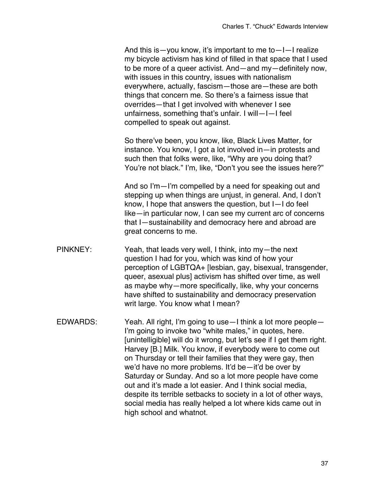And this is—you know, it's important to me to—I—I realize my bicycle activism has kind of filled in that space that I used to be more of a queer activist. And—and my—definitely now, with issues in this country, issues with nationalism everywhere, actually, fascism—those are—these are both things that concern me. So there's a fairness issue that overrides—that I get involved with whenever I see unfairness, something that's unfair. I will—I—I feel compelled to speak out against.

So there've been, you know, like, Black Lives Matter, for instance. You know, I got a lot involved in—in protests and such then that folks were, like, "Why are you doing that? You're not black." I'm, like, "Don't you see the issues here?"

And so I'm—I'm compelled by a need for speaking out and stepping up when things are unjust, in general. And, I don't know, I hope that answers the question, but I—I do feel like—in particular now, I can see my current arc of concerns that I—sustainability and democracy here and abroad are great concerns to me.

- PINKNEY: Yeah, that leads very well, I think, into my—the next question I had for you, which was kind of how your perception of LGBTQA+ [lesbian, gay, bisexual, transgender, queer, asexual plus] activism has shifted over time, as well as maybe why—more specifically, like, why your concerns have shifted to sustainability and democracy preservation writ large. You know what I mean?
- EDWARDS: Yeah. All right, I'm going to use—I think a lot more people— I'm going to invoke two "white males," in quotes, here. [unintelligible] will do it wrong, but let's see if I get them right. Harvey [B.] Milk. You know, if everybody were to come out on Thursday or tell their families that they were gay, then we'd have no more problems. It'd be—it'd be over by Saturday or Sunday. And so a lot more people have come out and it's made a lot easier. And I think social media, despite its terrible setbacks to society in a lot of other ways, social media has really helped a lot where kids came out in high school and whatnot.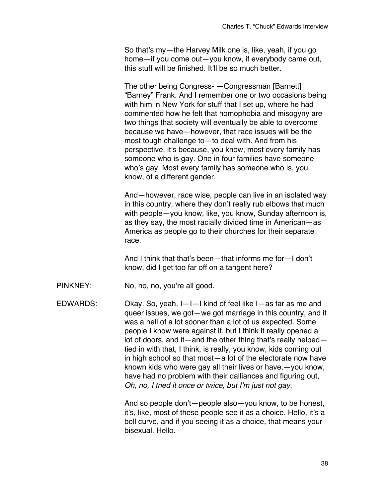So that's my—the Harvey Milk one is, like, yeah, if you go home—if you come out—you know, if everybody came out, this stuff will be finished. It'll be so much better.

The other being Congress- —Congressman [Barnett] "Barney" Frank. And I remember one or two occasions being with him in New York for stuff that I set up, where he had commented how he felt that homophobia and misogyny are two things that society will eventually be able to overcome because we have—however, that race issues will be the most tough challenge to—to deal with. And from his perspective, it's because, you know, most every family has someone who is gay. One in four families have someone who's gay. Most every family has someone who is, you know, of a different gender.

And—however, race wise, people can live in an isolated way in this country, where they don't really rub elbows that much with people—you know, like, you know, Sunday afternoon is, as they say, the most racially divided time in American—as America as people go to their churches for their separate race.

And I think that that's been—that informs me for—I don't know, did I get too far off on a tangent here?

PINKNEY: No, no, no, you're all good.

EDWARDS: Okay. So, yeah, I—I—I kind of feel like I—as far as me and queer issues, we got—we got marriage in this country, and it was a hell of a lot sooner than a lot of us expected. Some people I know were against it, but I think it really opened a lot of doors, and it—and the other thing that's really helped tied in with that, I think, is really, you know, kids coming out in high school so that most—a lot of the electorate now have known kids who were gay all their lives or have,—you know, have had no problem with their dalliances and figuring out, *Oh, no, I tried it once or twice, but I'm just not gay.*

> And so people don't—people also—you know, to be honest, it's, like, most of these people see it as a choice. Hello, it's a bell curve, and if you seeing it as a choice, that means your bisexual. Hello.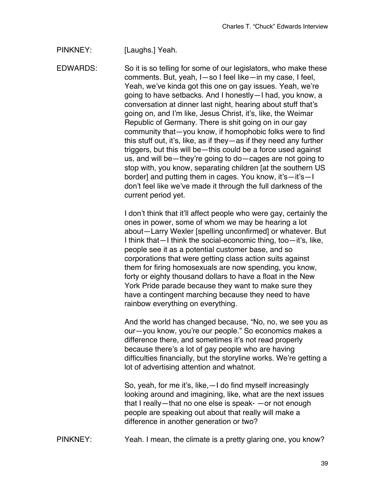PINKNEY: [Laughs.] Yeah.

EDWARDS: So it is so telling for some of our legislators, who make these comments. But, yeah, I—so I feel like—in my case, I feel, Yeah, we've kinda got this one on gay issues. Yeah, we're going to have setbacks. And I honestly—I had, you know, a conversation at dinner last night, hearing about stuff that's going on, and I'm like, Jesus Christ, it's, like, the Weimar Republic of Germany. There is shit going on in our gay community that—you know, if homophobic folks were to find this stuff out, it's, like, as if they—as if they need any further triggers, but this will be—this could be a force used against us, and will be—they're going to do—cages are not going to stop with, you know, separating children [at the southern US border] and putting them in cages. You know, it's—it's—I don't feel like we've made it through the full darkness of the current period yet.

> I don't think that it'll affect people who were gay, certainly the ones in power, some of whom we may be hearing a lot about—Larry Wexler [spelling unconfirmed] or whatever. But I think that—I think the social-economic thing, too—it's, like, people see it as a potential customer base, and so corporations that were getting class action suits against them for firing homosexuals are now spending, you know, forty or eighty thousand dollars to have a float in the New York Pride parade because they want to make sure they have a contingent marching because they need to have rainbow everything on everything.

> And the world has changed because, "No, no, we see you as our—you know, you're our people." So economics makes a difference there, and sometimes it's not read properly because there's a lot of gay people who are having difficulties financially, but the storyline works. We're getting a lot of advertising attention and whatnot.

So, yeah, for me it's, like,—I do find myself increasingly looking around and imagining, like, what are the next issues that I really—that no one else is speak- —or not enough people are speaking out about that really will make a difference in another generation or two?

PINKNEY: Yeah. I mean, the climate is a pretty glaring one, you know?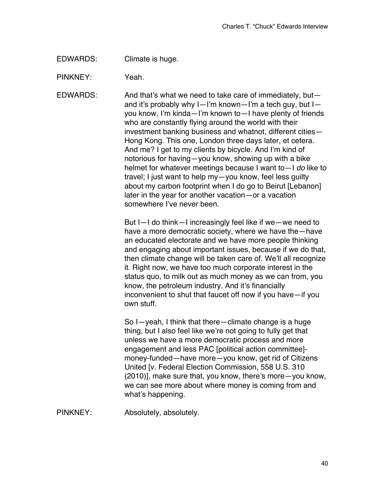EDWARDS: Climate is huge.

PINKNEY: Yeah.

EDWARDS: And that's what we need to take care of immediately, but and it's probably why I—I'm known—I'm a tech guy, but I you know, I'm kinda—I'm known to—I have plenty of friends who are constantly flying around the world with their investment banking business and whatnot, different cities— Hong Kong. This one, London three days later, et cetera. And me? I get to my clients by bicycle. And I'm kind of notorious for having—you know, showing up with a bike helmet for whatever meetings because I want to—I *do* like to travel; I just want to help my—you know, feel less guilty about my carbon footprint when I do go to Beirut [Lebanon] later in the year for another vacation—or a vacation somewhere I've never been.

> But I—I do think—I increasingly feel like if we—we need to have a more democratic society, where we have the—have an educated electorate and we have more people thinking and engaging about important issues, because if we do that, then climate change will be taken care of. We'll all recognize it. Right now, we have too much corporate interest in the status quo, to milk out as much money as we can from, you know, the petroleum industry. And it's financially inconvenient to shut that faucet off now if you have—if you own stuff.

> So I—yeah, I think that there—climate change is a huge thing, but I also feel like we're not going to fully get that unless we have a more democratic process and more engagement and less PAC [political action committee] money-funded—have more—you know, get rid of Citizens United [v. Federal Election Commission, 558 U.S. 310 (2010)], make sure that, you know, there's more—you know, we can see more about where money is coming from and what's happening.

PINKNEY: Absolutely, absolutely.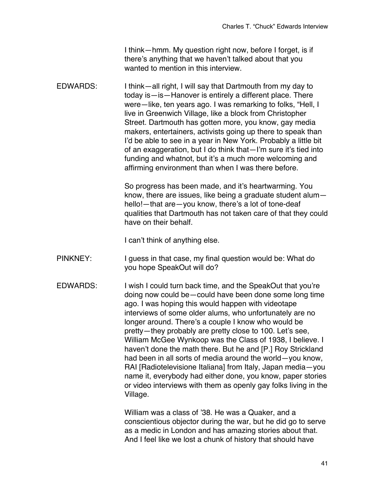I think—hmm. My question right now, before I forget, is if there's anything that we haven't talked about that you wanted to mention in this interview.

EDWARDS: I think—all right, I will say that Dartmouth from my day to today is—is—Hanover is entirely a different place. There were—like, ten years ago. I was remarking to folks, "Hell, I live in Greenwich Village, like a block from Christopher Street. Dartmouth has gotten more, you know, gay media makers, entertainers, activists going up there to speak than I'd be able to see in a year in New York. Probably a little bit of an exaggeration, but I do think that—I'm sure it's tied into funding and whatnot, but it's a much more welcoming and affirming environment than when I was there before.

> So progress has been made, and it's heartwarming. You know, there are issues, like being a graduate student alum hello!—that are—you know, there's a lot of tone-deaf qualities that Dartmouth has not taken care of that they could have on their behalf.

I can't think of anything else.

- PINKNEY: I guess in that case, my final question would be: What do you hope SpeakOut will do?
- EDWARDS: I wish I could turn back time, and the SpeakOut that you're doing now could be—could have been done some long time ago. I was hoping this would happen with videotape interviews of some older alums, who unfortunately are no longer around. There's a couple I know who would be pretty—they probably are pretty close to 100. Let's see, William McGee Wynkoop was the Class of 1938, I believe. I haven't done the math there. But he and [P.] Roy Strickland had been in all sorts of media around the world—you know, RAI [Radiotelevisione Italiana] from Italy, Japan media—you name it, everybody had either done, you know, paper stories or video interviews with them as openly gay folks living in the Village.

William was a class of '38. He was a Quaker, and a conscientious objector during the war, but he did go to serve as a medic in London and has amazing stories about that. And I feel like we lost a chunk of history that should have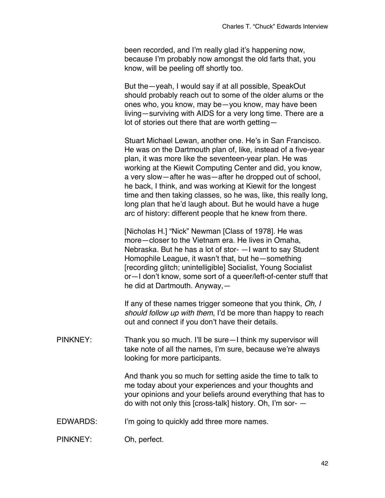been recorded, and I'm really glad it's happening now, because I'm probably now amongst the old farts that, you know, will be peeling off shortly too.

But the—yeah, I would say if at all possible, SpeakOut should probably reach out to some of the older alums or the ones who, you know, may be—you know, may have been living—surviving with AIDS for a very long time. There are a lot of stories out there that are worth getting—

Stuart Michael Lewan, another one. He's in San Francisco. He was on the Dartmouth plan of, like, instead of a five-year plan, it was more like the seventeen-year plan. He was working at the Kiewit Computing Center and did, you know, a very slow—after he was—after he dropped out of school, he back, I think, and was working at Kiewit for the longest time and then taking classes, so he was, like, this really long, long plan that he'd laugh about. But he would have a huge arc of history: different people that he knew from there.

[Nicholas H.] "Nick" Newman [Class of 1978]. He was more—closer to the Vietnam era. He lives in Omaha, Nebraska. But he has a lot of stor- —I want to say Student Homophile League, it wasn't that, but he—something [recording glitch; unintelligible] Socialist, Young Socialist or—I don't know, some sort of a queer/left-of-center stuff that he did at Dartmouth. Anyway,—

If any of these names trigger someone that you think, *Oh, I should follow up with them*, I'd be more than happy to reach out and connect if you don't have their details.

PINKNEY: Thank you so much. I'll be sure—I think my supervisor will take note of all the names, I'm sure, because we're always looking for more participants.

> And thank you so much for setting aside the time to talk to me today about your experiences and your thoughts and your opinions and your beliefs around everything that has to do with not only this [cross-talk] history. Oh, I'm sor- —

EDWARDS: I'm going to quickly add three more names.

PINKNEY: Oh, perfect.